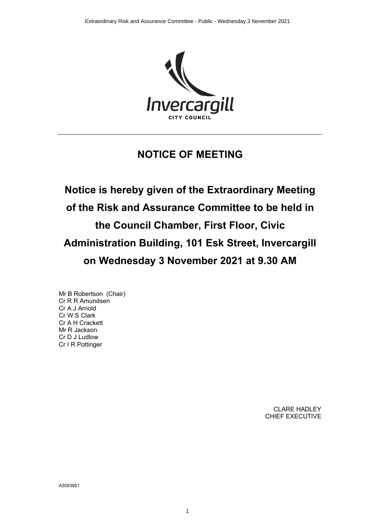

## **NOTICE OF MEETING**

**Notice is hereby given of the Extraordinary Meeting of the Risk and Assurance Committee to be held in the Council Chamber, First Floor, Civic Administration Building, 101 Esk Street, Invercargill on Wednesday 3 November 2021 at 9.30 AM**

Mr B Robertson (Chair) Cr R R Amundsen Cr A J Arnold Cr W S Clark Cr A H Crackett Mr R Jackson Cr D J Ludlow Cr I R Pottinger

> CLARE HADLEY CHIEF EXECUTIVE

A3593951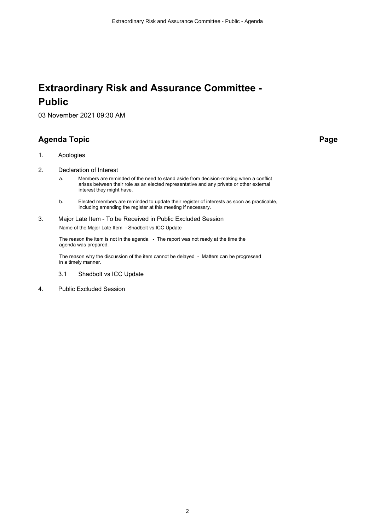## **Extraordinary Risk and Assurance Committee - Public**

03 November 2021 09:30 AM

## **Agenda Topic Page**

- 1. Apologies
- 2. Declaration of Interest
	- a. Members are reminded of the need to stand aside from decision-making when a conflict arises between their role as an elected representative and any private or other external interest they might have.
	- b. Elected members are reminded to update their register of interests as soon as practicable, including amending the register at this meeting if necessary.
- 3. Major Late Item To be Received in Public Excluded Session Name of the Major Late Item - Shadbolt vs ICC Update

The reason the item is not in the agenda - The report was not ready at the time the agenda was prepared.

The reason why the discussion of the item cannot be delayed - Matters can be progressed in a timely manner.

- 3.1 Shadbolt vs ICC Update
- 4. Public Excluded Session